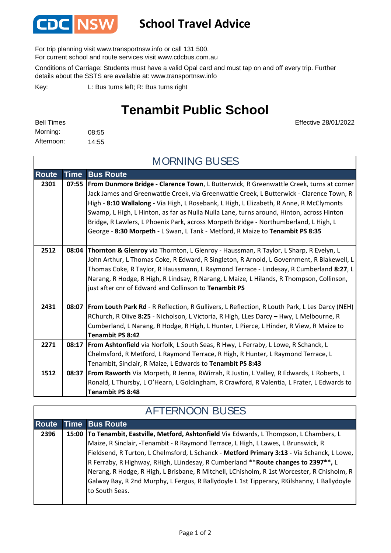

## **School Travel Advice**

For trip planning visit www.transportnsw.info or call 131 500.

For current school and route services visit www.cdcbus.com.au

Conditions of Carriage: Students must have a valid Opal card and must tap on and off every trip. Further details about the SSTS are available at: www.transportnsw.info

L: Bus turns left; R: Bus turns right Key:

## **Tenambit Public School**

| <b>Bell Times</b> |       |
|-------------------|-------|
| Morning:          | 08:55 |
| Afternoon:        | 14:55 |

Effective 28/01/2022

| <b>MORNING BUSES</b> |             |                                                                                                       |  |
|----------------------|-------------|-------------------------------------------------------------------------------------------------------|--|
| <b>Route</b>         | <b>Time</b> | <b>Bus Route</b>                                                                                      |  |
| 2301                 | 07:55       | From Dunmore Bridge - Clarence Town, L Butterwick, R Greenwattle Creek, turns at corner               |  |
|                      |             | Jack James and Greenwattle Creek, via Greenwattle Creek, L Butterwick - Clarence Town, R              |  |
|                      |             | High - 8:10 Wallalong - Via High, L Rosebank, L High, L Elizabeth, R Anne, R McClymonts               |  |
|                      |             | Swamp, L High, L Hinton, as far as Nulla Nulla Lane, turns around, Hinton, across Hinton              |  |
|                      |             | Bridge, R Lawlers, L Phoenix Park, across Morpeth Bridge - Northumberland, L High, L                  |  |
|                      |             | George - 8:30 Morpeth - L Swan, L Tank - Metford, R Maize to Tenambit PS 8:35                         |  |
| 2512                 |             | 08:04   Thornton & Glenroy via Thornton, L Glenroy - Haussman, R Taylor, L Sharp, R Evelyn, L         |  |
|                      |             | John Arthur, L Thomas Coke, R Edward, R Singleton, R Arnold, L Government, R Blakewell, L             |  |
|                      |             | Thomas Coke, R Taylor, R Haussmann, L Raymond Terrace - Lindesay, R Cumberland 8:27, L                |  |
|                      |             | Narang, R Hodge, R High, R Lindsay, R Narang, L Maize, L Hilands, R Thompson, Collinson,              |  |
|                      |             | just after cnr of Edward and Collinson to Tenambit PS                                                 |  |
| 2431                 |             | 08:07   From Louth Park Rd - R Reflection, R Gullivers, L Reflection, R Louth Park, L Les Darcy (NEH) |  |
|                      |             | RChurch, R Olive 8:25 - Nicholson, L Victoria, R High, LLes Darcy - Hwy, L Melbourne, R               |  |
|                      |             | Cumberland, L Narang, R Hodge, R High, L Hunter, L Pierce, L Hinder, R View, R Maize to               |  |
|                      |             | <b>Tenambit PS 8:42</b>                                                                               |  |
| 2271                 |             | 08:17   From Ashtonfield via Norfolk, L South Seas, R Hwy, L Ferraby, L Lowe, R Schanck, L            |  |
|                      |             | Chelmsford, R Metford, L Raymond Terrace, R High, R Hunter, L Raymond Terrace, L                      |  |
|                      |             | Tenambit, Sinclair, R Maize, L Edwards to Tenambit PS 8:43                                            |  |
| 1512                 | 08:37       | <b>From Raworth</b> Via Morpeth, R Jenna, RWirrah, R Justin, L Valley, R Edwards, L Roberts, L        |  |
|                      |             | Ronald, L Thursby, L O'Hearn, L Goldingham, R Crawford, R Valentia, L Frater, L Edwards to            |  |
|                      |             | Tenambit PS 8:48                                                                                      |  |

## **Route Time Bus Route 2396 15:00 To Tenambit, Eastville, Metford, Ashtonfield** Via Edwards, L Thompson, L Chambers, L Maize, R Sinclair, -Tenambit - R Raymond Terrace, L High, L Lawes, L Brunswick, R Fieldsend, R Turton, L Chelmsford, L Schanck - **Metford Primary 3:13 -** Via Schanck, L Lowe, R Ferraby, R Highway, RHigh, LLindesay, R Cumberland \*\***Route changes to 2397\*\*,** L Nerang, R Hodge, R High, L Brisbane, R Mitchell, LChisholm, R 1st Worcester, R Chisholm, R Galway Bay, R 2nd Murphy, L Fergus, R Ballydoyle L 1st Tipperary, RKilshanny, L Ballydoyle to South Seas. AFTERNOON BUSES